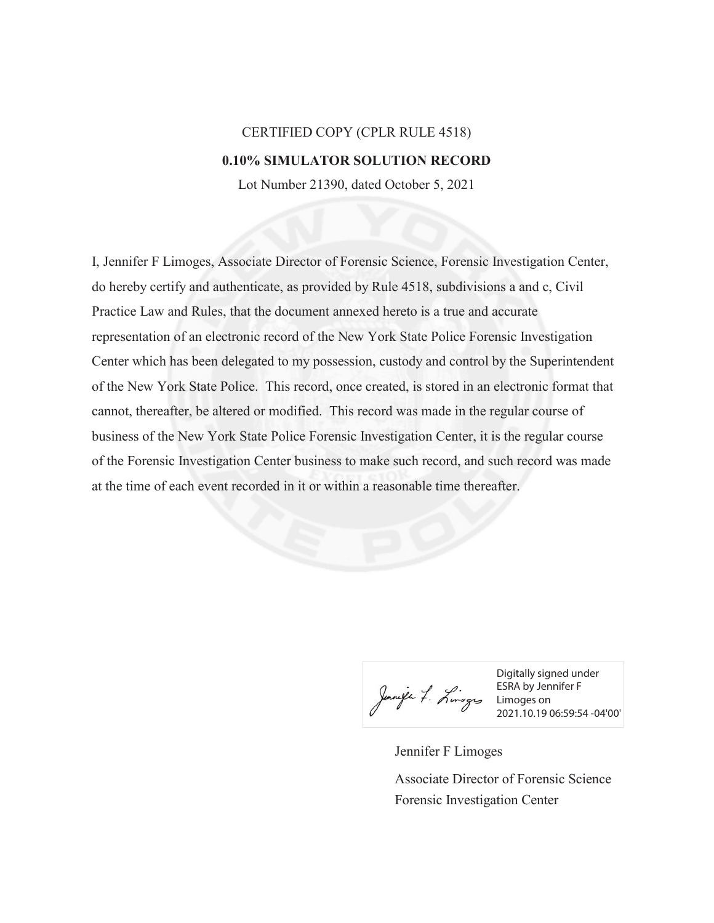## CERTIFIED COPY (CPLR RULE 4518) **0.10% SIMULATOR SOLUTION RECORD**

Lot Number 21390, dated October 5, 2021

I, Jennifer F Limoges, Associate Director of Forensic Science, Forensic Investigation Center, do hereby certify and authenticate, as provided by Rule 4518, subdivisions a and c, Civil Practice Law and Rules, that the document annexed hereto is a true and accurate representation of an electronic record of the New York State Police Forensic Investigation Center which has been delegated to my possession, custody and control by the Superintendent of the New York State Police. This record, once created, is stored in an electronic format that cannot, thereafter, be altered or modified. This record was made in the regular course of business of the New York State Police Forensic Investigation Center, it is the regular course of the Forensic Investigation Center business to make such record, and such record was made at the time of each event recorded in it or within a reasonable time thereafter.

Digitally signed under ESRA by Jennifer F Limoges on 2021.10.19 06:59:54 -04'00'

Jennifer F Limoges Forensic Investigation Center Associate Director of Forensic Science